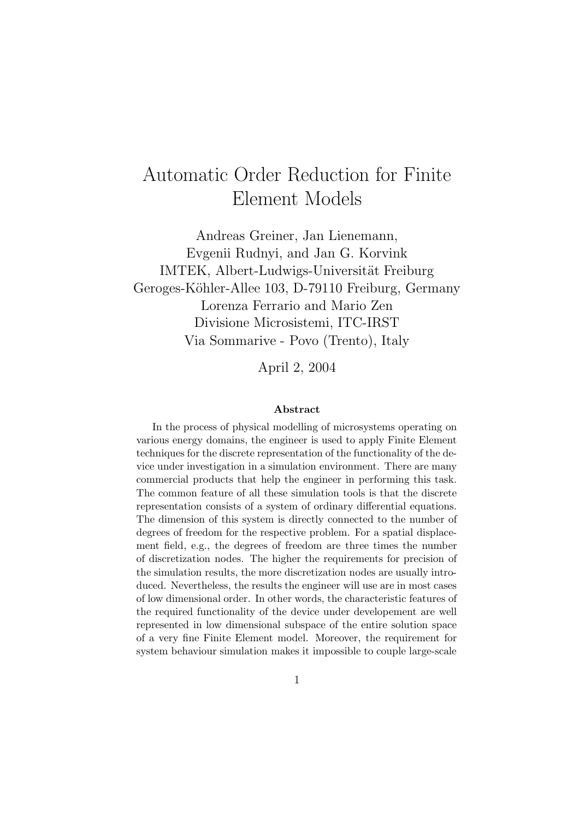# Automatic Order Reduction for Finite Element Models

Andreas Greiner, Jan Lienemann, Evgenii Rudnyi, and Jan G. Korvink IMTEK, Albert-Ludwigs-Universität Freiburg Geroges-Köhler-Allee 103, D-79110 Freiburg, Germany Lorenza Ferrario and Mario Zen Divisione Microsistemi, ITC-IRST Via Sommarive - Povo (Trento), Italy

April 2, 2004

#### Abstract

In the process of physical modelling of microsystems operating on various energy domains, the engineer is used to apply Finite Element techniques for the discrete representation of the functionality of the device under investigation in a simulation environment. There are many commercial products that help the engineer in performing this task. The common feature of all these simulation tools is that the discrete representation consists of a system of ordinary differential equations. The dimension of this system is directly connected to the number of degrees of freedom for the respective problem. For a spatial displacement field, e.g., the degrees of freedom are three times the number of discretization nodes. The higher the requirements for precision of the simulation results, the more discretization nodes are usually introduced. Nevertheless, the results the engineer will use are in most cases of low dimensional order. In other words, the characteristic features of the required functionality of the device under developement are well represented in low dimensional subspace of the entire solution space of a very fine Finite Element model. Moreover, the requirement for system behaviour simulation makes it impossible to couple large-scale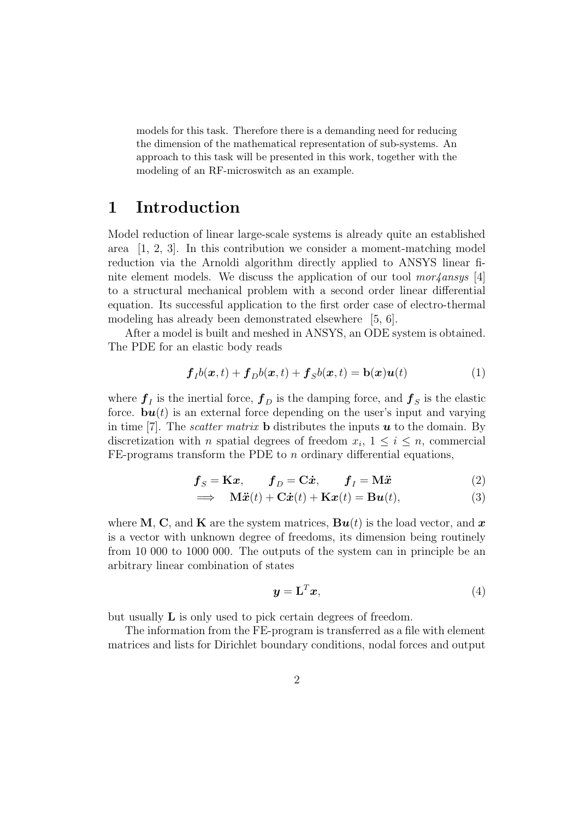models for this task. Therefore there is a demanding need for reducing the dimension of the mathematical representation of sub-systems. An approach to this task will be presented in this work, together with the modeling of an RF-microswitch as an example.

### 1 Introduction

Model reduction of linear large-scale systems is already quite an established area  $[1, 2, 3]$ . In this contribution we consider a moment-matching model reduction via the Arnoldi algorithm directly applied to ANSYS linear finite element models. We discuss the application of our tool  $mor\!/ansys$  [4] to a structural mechanical problem with a second order linear differential equation. Its successful application to the first order case of electro-thermal modeling has already been demonstrated elsewhere [5, 6].

After a model is built and meshed in ANSYS, an ODE system is obtained. The PDE for an elastic body reads

$$
\boldsymbol{f}_I b(\boldsymbol{x}, t) + \boldsymbol{f}_D b(\boldsymbol{x}, t) + \boldsymbol{f}_S b(\boldsymbol{x}, t) = \mathbf{b}(\boldsymbol{x}) \boldsymbol{u}(t) \tag{1}
$$

where  $f_I$  is the inertial force,  $f_D$  is the damping force, and  $f_S$  is the elastic force.  $\mathbf{b}\mathbf{u}(t)$  is an external force depending on the user's input and varying in time [7]. The *scatter matrix* **b** distributes the inputs  $\boldsymbol{u}$  to the domain. By discretization with n spatial degrees of freedom  $x_i$ ,  $1 \leq i \leq n$ , commercial FE-programs transform the PDE to  $n$  ordinary differential equations,

$$
\boldsymbol{f}_{S} = \mathbf{K}\boldsymbol{x}, \qquad \boldsymbol{f}_{D} = \mathbf{C}\dot{\boldsymbol{x}}, \qquad \boldsymbol{f}_{I} = \mathbf{M}\ddot{\boldsymbol{x}} \tag{2}
$$

$$
\implies \mathbf{M}\ddot{\mathbf{x}}(t) + \mathbf{C}\dot{\mathbf{x}}(t) + \mathbf{K}\mathbf{x}(t) = \mathbf{B}\mathbf{u}(t), \tag{3}
$$

where M, C, and K are the system matrices,  $\mathbf{B}\mathbf{u}(t)$  is the load vector, and x is a vector with unknown degree of freedoms, its dimension being routinely from 10 000 to 1000 000. The outputs of the system can in principle be an arbitrary linear combination of states

$$
\mathbf{y} = \mathbf{L}^T \mathbf{x},\tag{4}
$$

but usually L is only used to pick certain degrees of freedom.

The information from the FE-program is transferred as a file with element matrices and lists for Dirichlet boundary conditions, nodal forces and output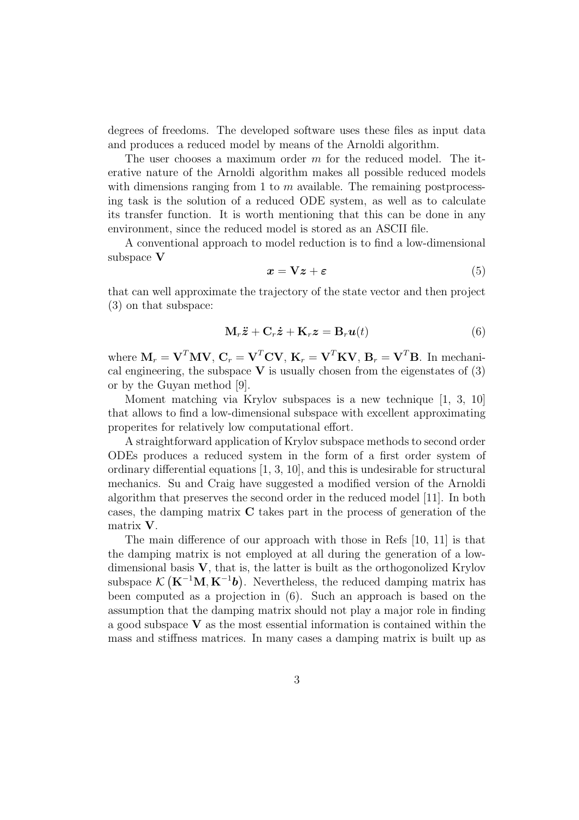degrees of freedoms. The developed software uses these files as input data and produces a reduced model by means of the Arnoldi algorithm.

The user chooses a maximum order m for the reduced model. The iterative nature of the Arnoldi algorithm makes all possible reduced models with dimensions ranging from 1 to  $m$  available. The remaining postprocessing task is the solution of a reduced ODE system, as well as to calculate its transfer function. It is worth mentioning that this can be done in any environment, since the reduced model is stored as an ASCII file.

A conventional approach to model reduction is to find a low-dimensional subspace V

$$
x = \nabla z + \varepsilon \tag{5}
$$

that can well approximate the trajectory of the state vector and then project (3) on that subspace:

$$
\mathbf{M}_r \ddot{\mathbf{z}} + \mathbf{C}_r \dot{\mathbf{z}} + \mathbf{K}_r \mathbf{z} = \mathbf{B}_r \mathbf{u}(t)
$$
 (6)

where  $\mathbf{M}_r = \mathbf{V}^T \mathbf{M} \mathbf{V}$ ,  $\mathbf{C}_r = \mathbf{V}^T \mathbf{C} \mathbf{V}$ ,  $\mathbf{K}_r = \mathbf{V}^T \mathbf{K} \mathbf{V}$ ,  $\mathbf{B}_r = \mathbf{V}^T \mathbf{B}$ . In mechanical engineering, the subspace  $V$  is usually chosen from the eigenstates of (3) or by the Guyan method [9].

Moment matching via Krylov subspaces is a new technique [1, 3, 10] that allows to find a low-dimensional subspace with excellent approximating properites for relatively low computational effort.

A straightforward application of Krylov subspace methods to second order ODEs produces a reduced system in the form of a first order system of ordinary differential equations [1, 3, 10], and this is undesirable for structural mechanics. Su and Craig have suggested a modified version of the Arnoldi algorithm that preserves the second order in the reduced model [11]. In both cases, the damping matrix C takes part in the process of generation of the matrix V.

The main difference of our approach with those in Refs [10, 11] is that the damping matrix is not employed at all during the generation of a lowdimensional basis  $V$ , that is, the latter is built as the orthogonolized Krylov subspace  $\mathcal{K}(\mathbf{K}^{-1}\mathbf{M}, \mathbf{K}^{-1}\mathbf{b})$ . Nevertheless, the reduced damping matrix has been computed as a projection in (6). Such an approach is based on the assumption that the damping matrix should not play a major role in finding a good subspace  $V$  as the most essential information is contained within the mass and stiffness matrices. In many cases a damping matrix is built up as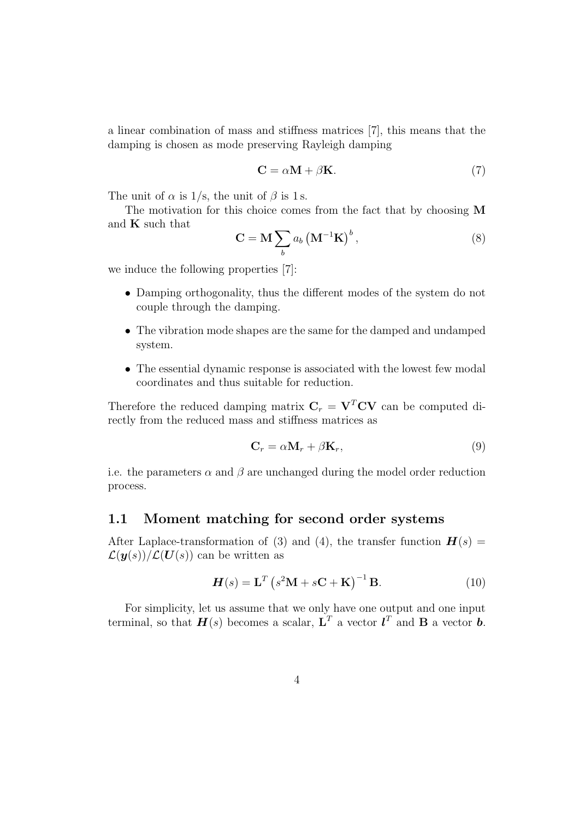a linear combination of mass and stiffness matrices [7], this means that the damping is chosen as mode preserving Rayleigh damping

$$
C = \alpha M + \beta K. \tag{7}
$$

The unit of  $\alpha$  is 1/s, the unit of  $\beta$  is 1s.

The motivation for this choice comes from the fact that by choosing M and K such that

$$
\mathbf{C} = \mathbf{M} \sum_{b} a_b \left( \mathbf{M}^{-1} \mathbf{K} \right)^b, \tag{8}
$$

we induce the following properties [7]:

- Damping orthogonality, thus the different modes of the system do not couple through the damping.
- The vibration mode shapes are the same for the damped and undamped system.
- The essential dynamic response is associated with the lowest few modal coordinates and thus suitable for reduction.

Therefore the reduced damping matrix  $C_r = V^T CV$  can be computed directly from the reduced mass and stiffness matrices as

$$
\mathbf{C}_r = \alpha \mathbf{M}_r + \beta \mathbf{K}_r, \tag{9}
$$

i.e. the parameters  $\alpha$  and  $\beta$  are unchanged during the model order reduction process.

#### 1.1 Moment matching for second order systems

After Laplace-transformation of (3) and (4), the transfer function  $H(s)$  =  $\mathcal{L}(\mathbf{y}(s))/\mathcal{L}(\mathbf{U}(s))$  can be written as

$$
H(s) = \mathbf{L}^T \left( s^2 \mathbf{M} + s \mathbf{C} + \mathbf{K} \right)^{-1} \mathbf{B}.
$$
 (10)

For simplicity, let us assume that we only have one output and one input terminal, so that  $\boldsymbol{H}(s)$  becomes a scalar,  $\boldsymbol{\mathrm{L}}^T$  a vector  $\boldsymbol{l}^T$  and  $\boldsymbol{\mathrm{B}}$  a vector  $\boldsymbol{b}$ .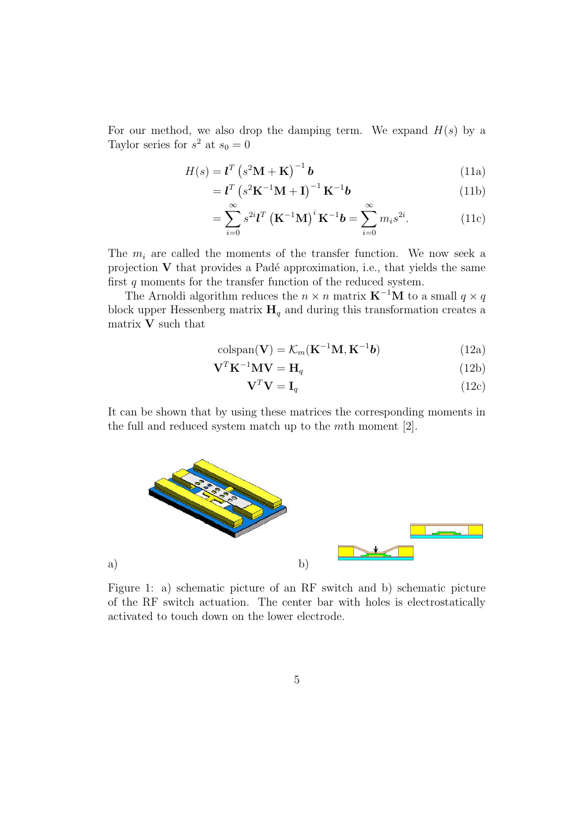For our method, we also drop the damping term. We expand  $H(s)$  by a Taylor series for  $s^2$  at  $s_0 = 0$ 

$$
H(s) = \mathbf{I}^T \left( s^2 \mathbf{M} + \mathbf{K} \right)^{-1} \mathbf{b}
$$
 (11a)

$$
= \mathbf{I}^{T} \left( s^{2} \mathbf{K}^{-1} \mathbf{M} + \mathbf{I} \right)^{-1} \mathbf{K}^{-1} \mathbf{b}
$$
 (11b)

$$
=\sum_{i=0}^{\infty} s^{2i} \mathbf{l}^{T} \left(\mathbf{K}^{-1} \mathbf{M}\right)^{i} \mathbf{K}^{-1} \mathbf{b} = \sum_{i=0}^{\infty} m_{i} s^{2i}.
$$
 (11c)

The  $m_i$  are called the moments of the transfer function. We now seek a projection  $V$  that provides a Padé approximation, i.e., that yields the same first  $q$  moments for the transfer function of the reduced system.

The Arnoldi algorithm reduces the  $n \times n$  matrix  $\mathbf{K}^{-1} \mathbf{M}$  to a small  $q \times q$ block upper Hessenberg matrix  $\mathbf{H}_q$  and during this transformation creates a matrix V such that

$$
\text{colspan}(\mathbf{V}) = \mathcal{K}_m(\mathbf{K}^{-1}\mathbf{M}, \mathbf{K}^{-1}\mathbf{b})
$$
\n(12a)

$$
\mathbf{V}^T \mathbf{K}^{-1} \mathbf{M} \mathbf{V} = \mathbf{H}_q \tag{12b}
$$

$$
\mathbf{V}^T \mathbf{V} = \mathbf{I}_q \tag{12c}
$$

It can be shown that by using these matrices the corresponding moments in the full and reduced system match up to the mth moment [2].



Figure 1: a) schematic picture of an RF switch and b) schematic picture of the RF switch actuation. The center bar with holes is electrostatically activated to touch down on the lower electrode.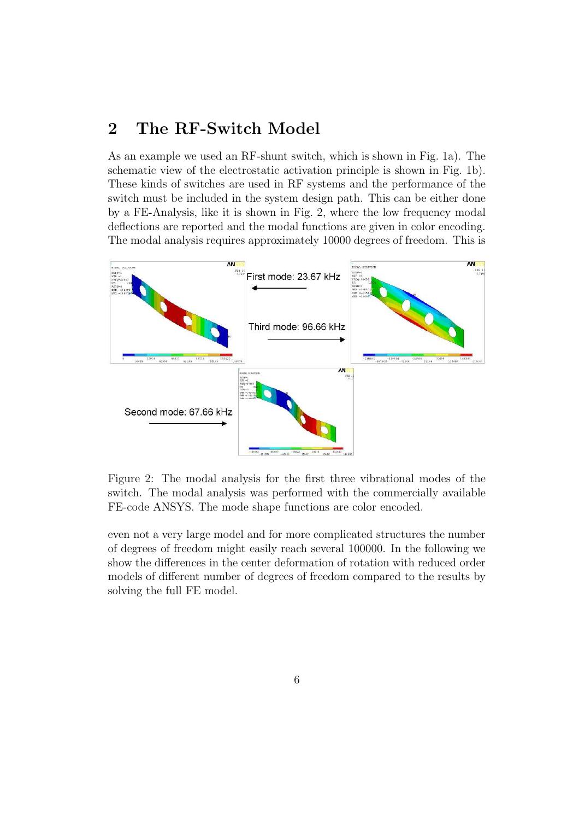# 2 The RF-Switch Model

As an example we used an RF-shunt switch, which is shown in Fig. 1a). The schematic view of the electrostatic activation principle is shown in Fig. 1b). These kinds of switches are used in RF systems and the performance of the switch must be included in the system design path. This can be either done by a FE-Analysis, like it is shown in Fig. 2, where the low frequency modal deflections are reported and the modal functions are given in color encoding. The modal analysis requires approximately 10000 degrees of freedom. This is



Figure 2: The modal analysis for the first three vibrational modes of the switch. The modal analysis was performed with the commercially available FE-code ANSYS. The mode shape functions are color encoded.

even not a very large model and for more complicated structures the number of degrees of freedom might easily reach several 100000. In the following we show the differences in the center deformation of rotation with reduced order models of different number of degrees of freedom compared to the results by solving the full FE model.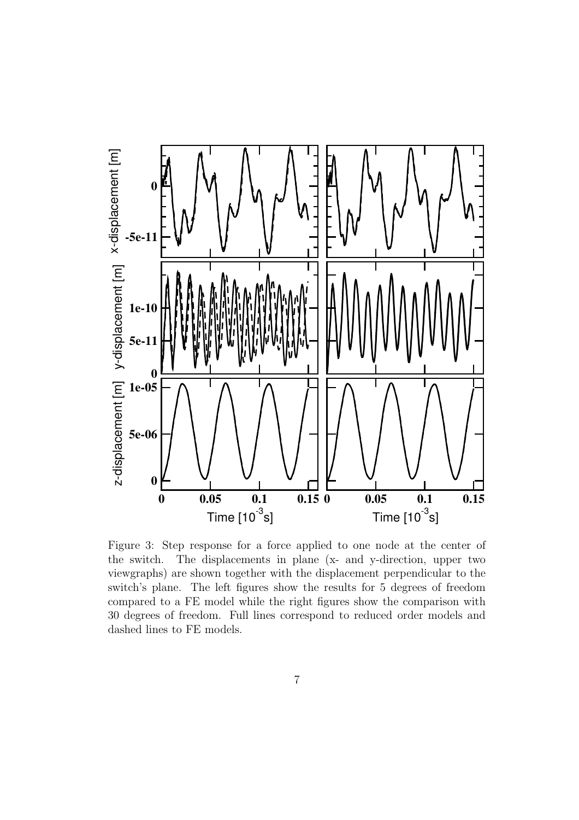

Figure 3: Step response for a force applied to one node at the center of the switch. The displacements in plane (x- and y-direction, upper two viewgraphs) are shown together with the displacement perpendicular to the switch's plane. The left figures show the results for 5 degrees of freedom compared to a FE model while the right figures show the comparison with 30 degrees of freedom. Full lines correspond to reduced order models and dashed lines to FE models.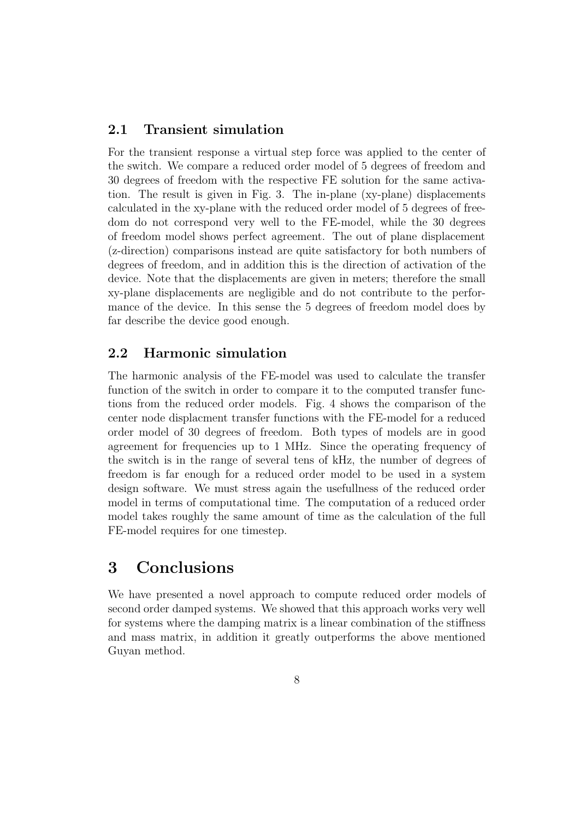#### 2.1 Transient simulation

For the transient response a virtual step force was applied to the center of the switch. We compare a reduced order model of 5 degrees of freedom and 30 degrees of freedom with the respective FE solution for the same activation. The result is given in Fig. 3. The in-plane (xy-plane) displacements calculated in the xy-plane with the reduced order model of 5 degrees of freedom do not correspond very well to the FE-model, while the 30 degrees of freedom model shows perfect agreement. The out of plane displacement (z-direction) comparisons instead are quite satisfactory for both numbers of degrees of freedom, and in addition this is the direction of activation of the device. Note that the displacements are given in meters; therefore the small xy-plane displacements are negligible and do not contribute to the performance of the device. In this sense the 5 degrees of freedom model does by far describe the device good enough.

#### 2.2 Harmonic simulation

The harmonic analysis of the FE-model was used to calculate the transfer function of the switch in order to compare it to the computed transfer functions from the reduced order models. Fig. 4 shows the comparison of the center node displacment transfer functions with the FE-model for a reduced order model of 30 degrees of freedom. Both types of models are in good agreement for frequencies up to 1 MHz. Since the operating frequency of the switch is in the range of several tens of kHz, the number of degrees of freedom is far enough for a reduced order model to be used in a system design software. We must stress again the usefullness of the reduced order model in terms of computational time. The computation of a reduced order model takes roughly the same amount of time as the calculation of the full FE-model requires for one timestep.

### 3 Conclusions

We have presented a novel approach to compute reduced order models of second order damped systems. We showed that this approach works very well for systems where the damping matrix is a linear combination of the stiffness and mass matrix, in addition it greatly outperforms the above mentioned Guyan method.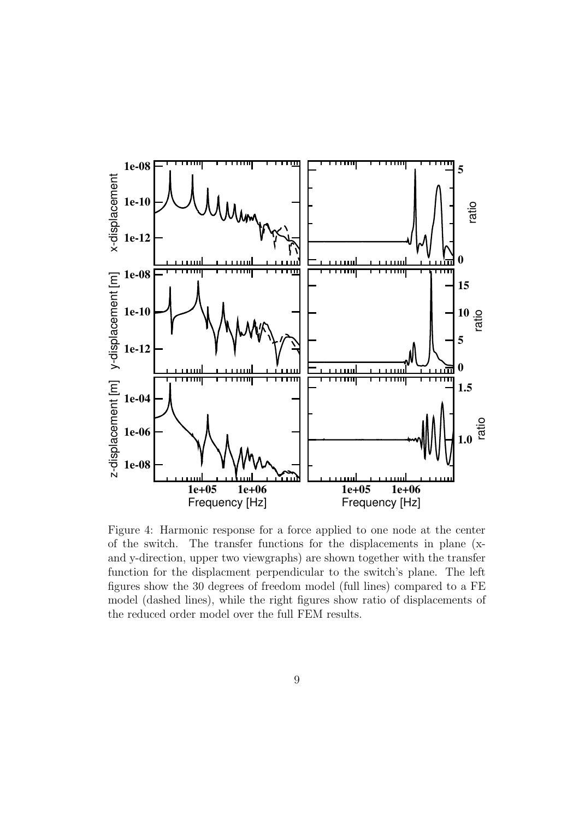

Figure 4: Harmonic response for a force applied to one node at the center of the switch. The transfer functions for the displacements in plane (xand y-direction, upper two viewgraphs) are shown together with the transfer function for the displacment perpendicular to the switch's plane. The left figures show the 30 degrees of freedom model (full lines) compared to a FE model (dashed lines), while the right figures show ratio of displacements of the reduced order model over the full FEM results.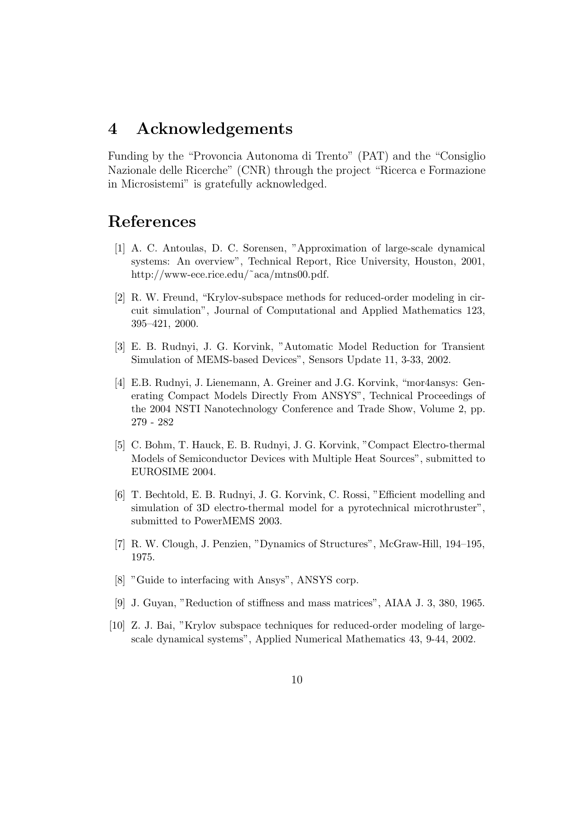## 4 Acknowledgements

Funding by the "Provoncia Autonoma di Trento" (PAT) and the "Consiglio Nazionale delle Ricerche" (CNR) through the project "Ricerca e Formazione in Microsistemi" is gratefully acknowledged.

# References

- [1] A. C. Antoulas, D. C. Sorensen, "Approximation of large-scale dynamical systems: An overview", Technical Report, Rice University, Houston, 2001, http://www-ece.rice.edu/˜aca/mtns00.pdf.
- [2] R. W. Freund, "Krylov-subspace methods for reduced-order modeling in circuit simulation", Journal of Computational and Applied Mathematics 123, 395–421, 2000.
- [3] E. B. Rudnyi, J. G. Korvink, "Automatic Model Reduction for Transient Simulation of MEMS-based Devices", Sensors Update 11, 3-33, 2002.
- [4] E.B. Rudnyi, J. Lienemann, A. Greiner and J.G. Korvink, "mor4ansys: Generating Compact Models Directly From ANSYS", Technical Proceedings of the 2004 NSTI Nanotechnology Conference and Trade Show, Volume 2, pp. 279 - 282
- [5] C. Bohm, T. Hauck, E. B. Rudnyi, J. G. Korvink, "Compact Electro-thermal Models of Semiconductor Devices with Multiple Heat Sources", submitted to EUROSIME 2004.
- [6] T. Bechtold, E. B. Rudnyi, J. G. Korvink, C. Rossi, "Efficient modelling and simulation of 3D electro-thermal model for a pyrotechnical microthruster", submitted to PowerMEMS 2003.
- [7] R. W. Clough, J. Penzien, "Dynamics of Structures", McGraw-Hill, 194–195, 1975.
- [8] "Guide to interfacing with Ansys", ANSYS corp.
- [9] J. Guyan, "Reduction of stiffness and mass matrices", AIAA J. 3, 380, 1965.
- [10] Z. J. Bai, "Krylov subspace techniques for reduced-order modeling of largescale dynamical systems", Applied Numerical Mathematics 43, 9-44, 2002.